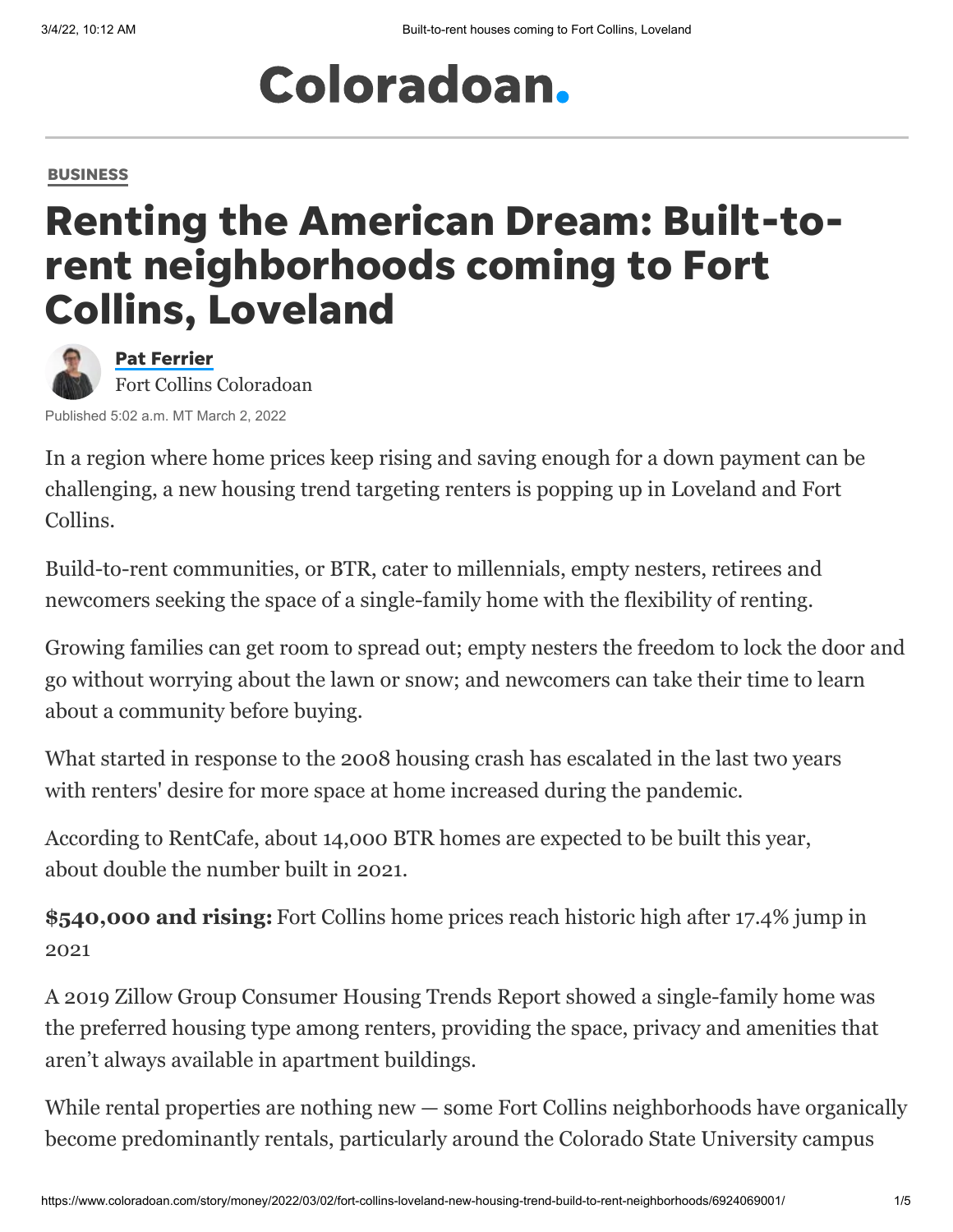# Coloradoan.

#### [BUSINESS](https://www.coloradoan.com/business/)

## Renting the American Dream: Built-torent neighborhoods coming to Fort Collins, Loveland



Pat [Ferrier](https://www.coloradoan.com/staff/4406514002/pat-ferrier/) Fort Collins Coloradoan

Published 5:02 a.m. MT March 2, 2022

In a region where home prices keep rising and saving enough for a down payment can be challenging, a new housing trend targeting renters is popping up in Loveland and Fort Collins.

Build-to-rent communities, or BTR, cater to millennials, empty nesters, retirees and newcomers seeking the space of a single-family home with the flexibility of renting.

Growing families can get room to spread out; empty nesters the freedom to lock the door and go without worrying about the lawn or snow; and newcomers can take their time to learn about a community before buying.

What started in response to the 2008 housing crash has escalated in the last two years with renters' desire for more space at home increased during the pandemic.

According to RentCafe, about 14,000 BTR homes are expected to be built this year, about double the number built in 2021.

**\$540,000 and rising:** [Fort Collins home prices reach historic high after 17.4% jump in](https://www.coloradoan.com/story/money/2022/01/25/fort-collins-home-prices-historic-high-northern-colorado-real-estate/6562579001/) 2021

A 2019 Zillow Group Consumer Housing Trends Report showed a single-family home was the preferred housing type among renters, providing the space, privacy and amenities that aren't always available in apartment buildings.

While rental properties are nothing new — some Fort Collins neighborhoods have organically become predominantly rentals, particularly around the Colorado State University campus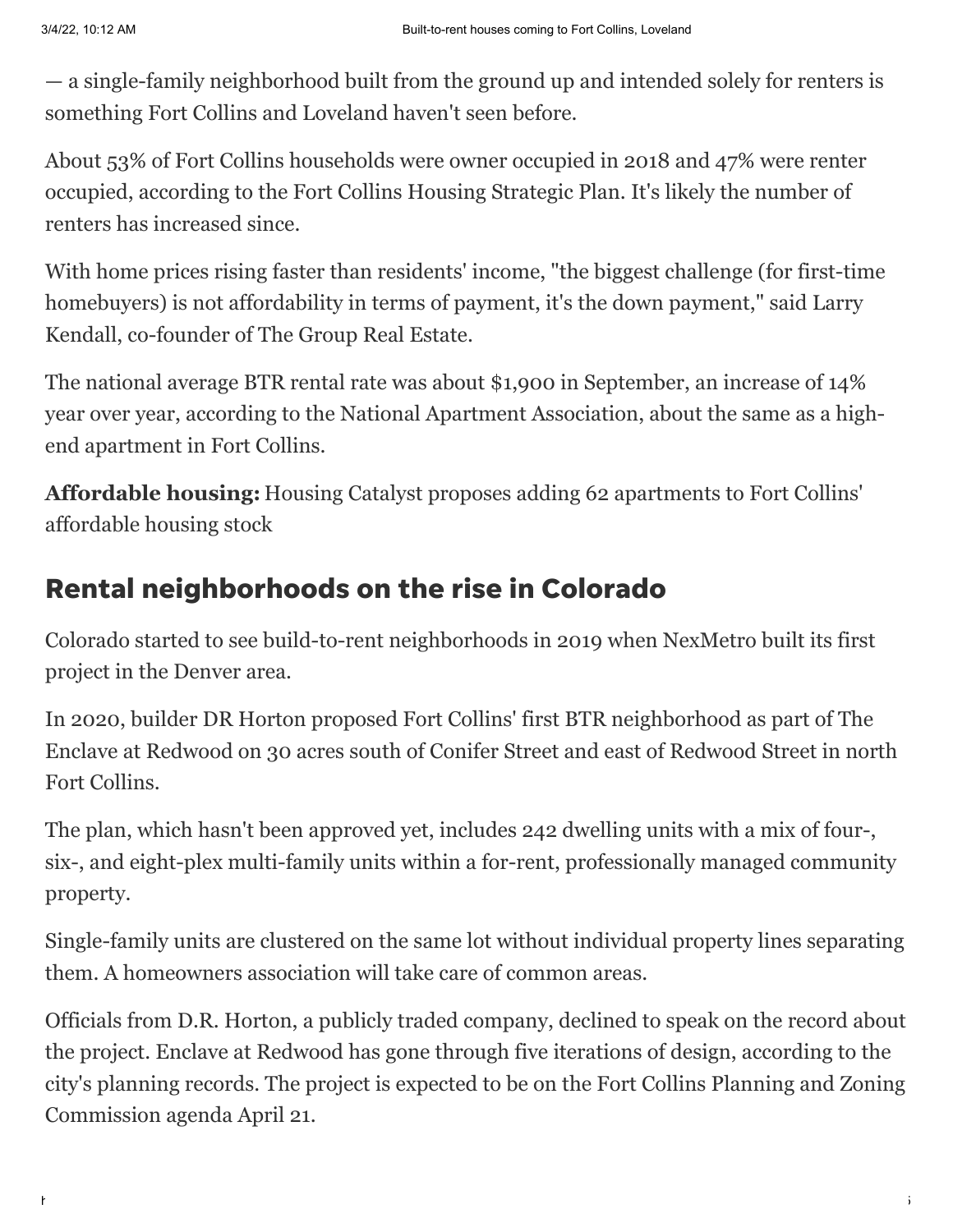— a single-family neighborhood built from the ground up and intended solely for renters is something Fort Collins and Loveland haven't seen before.

About 53% of Fort Collins households were owner occupied in 2018 and 47% were renter occupied, according to the Fort Collins Housing Strategic Plan. It's likely the number of renters has increased since.

With home prices rising faster than residents' income, "the biggest challenge (for first-time homebuyers) is not affordability in terms of payment, it's the down payment," said Larry Kendall, co-founder of The Group Real Estate.

The national average BTR rental rate was about \$1,900 in September, an increase of 14% year over year, according to the National Apartment Association, about the same as a highend apartment in Fort Collins.

**Affordable housing:** [Housing Catalyst proposes adding 62 apartments to Fort Collins'](https://www.coloradoan.com/story/news/2022/02/21/fort-collins-housing-housing-catalyst-plans-62-low-income-apartments/6881147001/) affordable housing stock

#### Rental neighborhoods on the rise in Colorado

Colorado started to see build-to-rent neighborhoods in 2019 when NexMetro built its first project in the Denver area.

In 2020, builder DR Horton proposed Fort Collins' first BTR neighborhood as part of The Enclave at Redwood on 30 acres south of Conifer Street and east of Redwood Street in north Fort Collins.

The plan, which hasn't been approved yet, includes 242 dwelling units with a mix of four-, six-, and eight-plex multi-family units within a for-rent, professionally managed community property.

Single-family units are clustered on the same lot without individual property lines separating them. A homeowners association will take care of common areas.

Officials from D.R. Horton, a publicly traded company, declined to speak on the record about the project. Enclave at Redwood has gone through five iterations of design, according to the city's planning records. The project is expected to be on the Fort Collins Planning and Zoning Commission agenda April 21.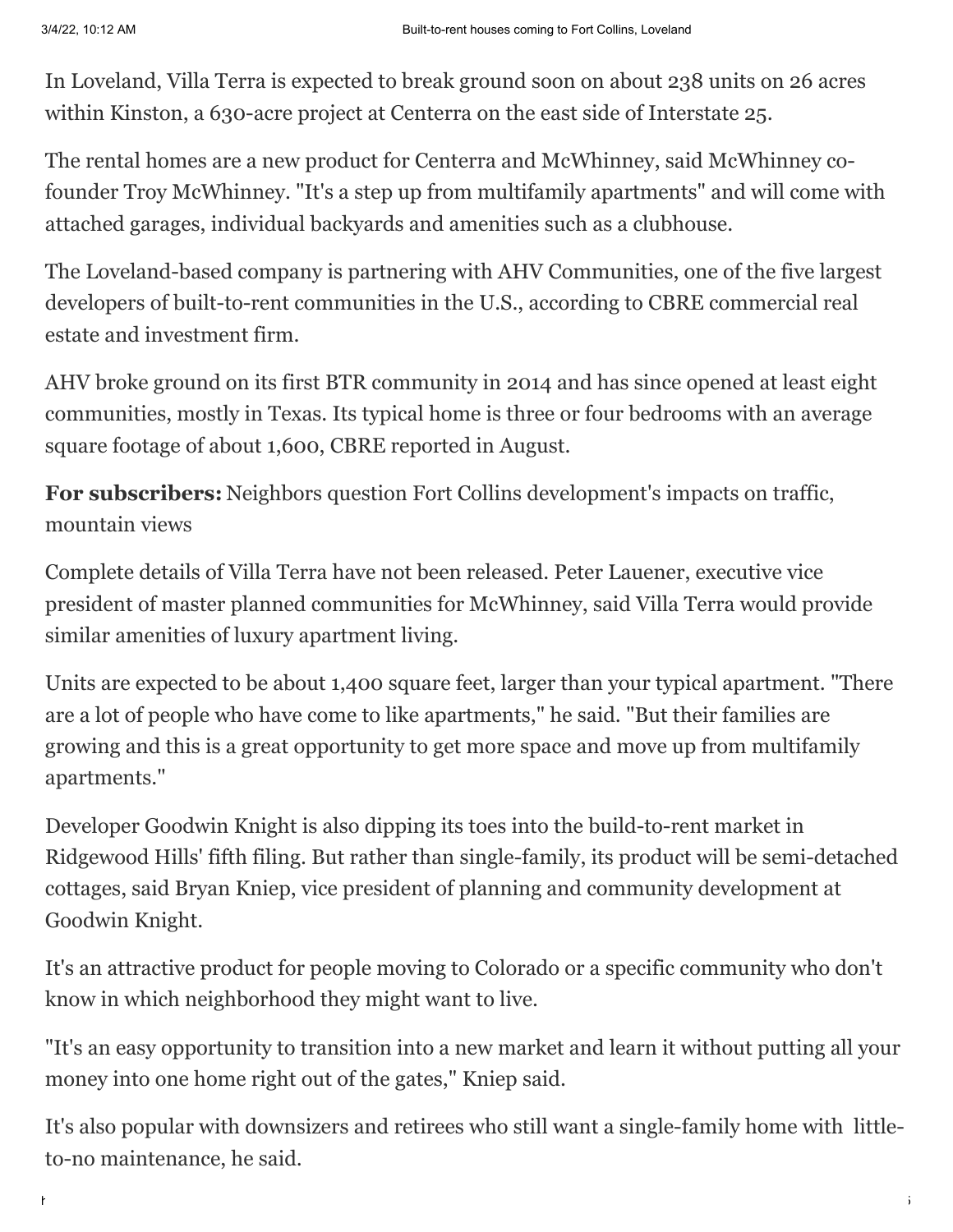In Loveland, Villa Terra is expected to break ground soon on about 238 units on 26 acres within Kinston, a 630-acre project at Centerra on the east side of Interstate 25.

The rental homes are a new product for Centerra and McWhinney, said McWhinney cofounder Troy McWhinney. "It's a step up from multifamily apartments" and will come with attached garages, individual backyards and amenities such as a clubhouse.

The Loveland-based company is partnering with AHV Communities, one of the five largest developers of built-to-rent communities in the U.S., according to CBRE commercial real estate and investment firm.

AHV broke ground on its first BTR community in 2014 and has since opened at least eight communities, mostly in Texas. Its typical home is three or four bedrooms with an average square footage of about 1,600, CBRE reported in August.

**For subscribers:** [Neighbors question Fort Collins development's impacts on traffic,](https://www.coloradoan.com/story/money/2022/02/26/fort-collins-flats-at-hansen-farm-plans-add-255-apartments/6937424001/) mountain views

Complete details of Villa Terra have not been released. Peter Lauener, executive vice president of master planned communities for McWhinney, said Villa Terra would provide similar amenities of luxury apartment living.

Units are expected to be about 1,400 square feet, larger than your typical apartment. "There are a lot of people who have come to like apartments," he said. "But their families are growing and this is a great opportunity to get more space and move up from multifamily apartments."

Developer Goodwin Knight is also dipping its toes into the build-to-rent market in Ridgewood Hills' fifth filing. But rather than single-family, its product will be semi-detached cottages, said Bryan Kniep, vice president of planning and community development at Goodwin Knight.

It's an attractive product for people moving to Colorado or a specific community who don't know in which neighborhood they might want to live.

"It's an easy opportunity to transition into a new market and learn it without putting all your money into one home right out of the gates," Kniep said.

It's also popular with downsizers and retirees who still want a single-family home with littleto-no maintenance, he said.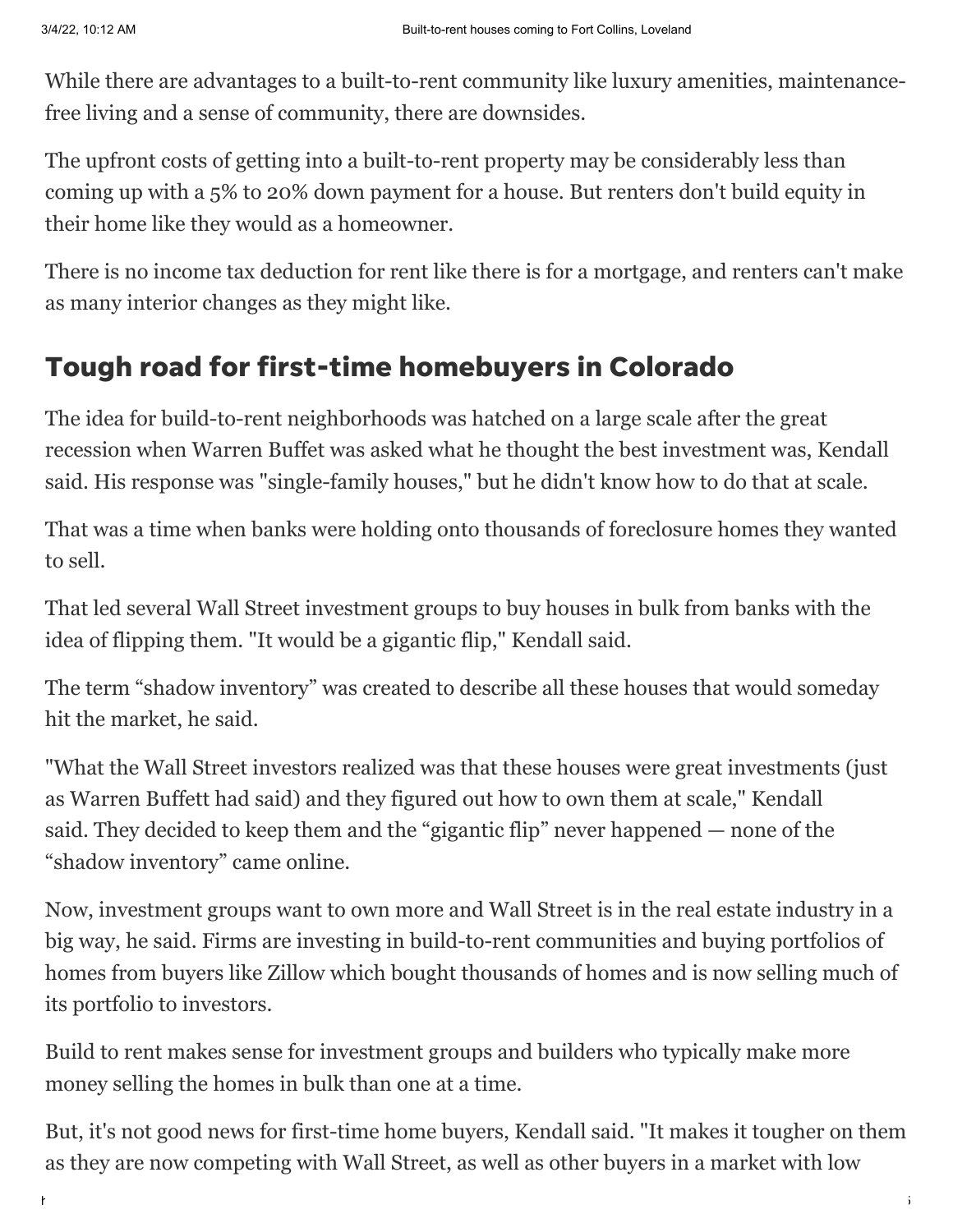While there are advantages to a built-to-rent community like luxury amenities, maintenancefree living and a sense of community, there are downsides.

The upfront costs of getting into a built-to-rent property may be considerably less than coming up with a 5% to 20% down payment for a house. But renters don't build equity in their home like they would as a homeowner.

There is no income tax deduction for rent like there is for a mortgage, and renters can't make as many interior changes as they might like.

### Tough road for first-time homebuyers in Colorado

The idea for build-to-rent neighborhoods was hatched on a large scale after the great recession when Warren Buffet was asked what he thought the best investment was, Kendall said. His response was "single-family houses," but he didn't know how to do that at scale.

That was a time when banks were holding onto thousands of foreclosure homes they wanted to sell.

That led several Wall Street investment groups to buy houses in bulk from banks with the idea of flipping them. "It would be a gigantic flip," Kendall said.

The term "shadow inventory" was created to describe all these houses that would someday hit the market, he said.

"What the Wall Street investors realized was that these houses were great investments (just as Warren Buffett had said) and they figured out how to own them at scale," Kendall said. They decided to keep them and the "gigantic flip" never happened — none of the "shadow inventory" came online.

Now, investment groups want to own more and Wall Street is in the real estate industry in a big way, he said. Firms are investing in build-to-rent communities and buying portfolios of homes from buyers like Zillow which bought thousands of homes and is now selling much of its portfolio to investors.

Build to rent makes sense for investment groups and builders who typically make more money selling the homes in bulk than one at a time.

But, it's not good news for first-time home buyers, Kendall said. "It makes it tougher on them as they are now competing with Wall Street, as well as other buyers in a market with low